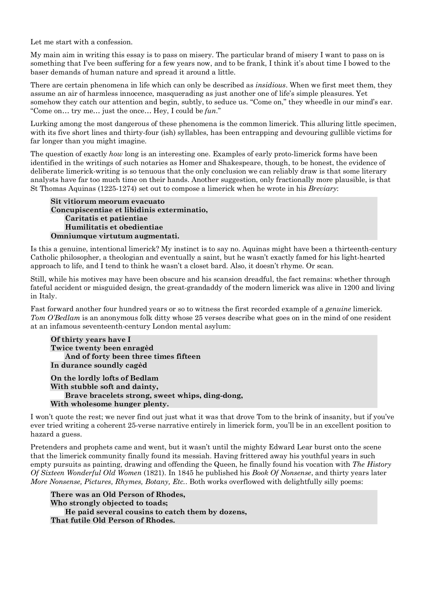Let me start with a confession.

My main aim in writing this essay is to pass on misery. The particular brand of misery I want to pass on is something that I've been suffering for a few years now, and to be frank, I think it's about time I bowed to the baser demands of human nature and spread it around a little.

There are certain phenomena in life which can only be described as *insidious*. When we first meet them, they assume an air of harmless innocence, masquerading as just another one of life's simple pleasures. Yet somehow they catch our attention and begin, subtly, to seduce us. "Come on," they wheedle in our mind's ear. "Come on… try me… just the once… Hey, I could be *fun*."

Lurking among the most dangerous of these phenomena is the common limerick. This alluring little specimen, with its five short lines and thirty-four (ish) syllables, has been entrapping and devouring gullible victims for far longer than you might imagine.

The question of exactly *how* long is an interesting one. Examples of early proto-limerick forms have been identified in the writings of such notaries as Homer and Shakespeare, though, to be honest, the evidence of deliberate limerick-writing is so tenuous that the only conclusion we can reliably draw is that some literary analysts have far too much time on their hands. Another suggestion, only fractionally more plausible, is that St Thomas Aquinas (1225-1274) set out to compose a limerick when he wrote in his *Breviary*:

```
Sit vitiorum meorum evacuato
Concupiscentiae et libidinis exterminatio,
   Caritatis et patientiae
   Humilitatis et obedientiae
Omniumque virtutum augmentati.
```
Is this a genuine, intentional limerick? My instinct is to say no. Aquinas might have been a thirteenth-century Catholic philosopher, a theologian and eventually a saint, but he wasn't exactly famed for his light-hearted approach to life, and I tend to think he wasn't a closet bard. Also, it doesn't rhyme. Or scan.

Still, while his motives may have been obscure and his scansion dreadful, the fact remains: whether through fateful accident or misguided design, the great-grandaddy of the modern limerick was alive in 1200 and living in Italy.

Fast forward another four hundred years or so to witness the first recorded example of a *genuine* limerick. *Tom O'Bedlam* is an anonymous folk ditty whose 25 verses describe what goes on in the mind of one resident at an infamous seventeenth-century London mental asylum:

```
Of thirty years have I
Twice twenty been enragèd
   And of forty been three times fifteen
In durance soundly cagèd
```
**On the lordly lofts of Bedlam With stubble soft and dainty, Brave bracelets strong, sweet whips, ding-dong, With wholesome hunger plenty.**

I won't quote the rest; we never find out just what it was that drove Tom to the brink of insanity, but if you've ever tried writing a coherent 25-verse narrative entirely in limerick form, you'll be in an excellent position to hazard a guess.

Pretenders and prophets came and went, but it wasn't until the mighty Edward Lear burst onto the scene that the limerick community finally found its messiah. Having frittered away his youthful years in such empty pursuits as painting, drawing and offending the Queen, he finally found his vocation with *The History Of Sixteen Wonderful Old Women* (1821). In 1845 he published his *Book Of Nonsense*, and thirty years later *More Nonsense, Pictures, Rhymes, Botany, Etc.*. Both works overflowed with delightfully silly poems:

**There was an Old Person of Rhodes, Who strongly objected to toads; He paid several cousins to catch them by dozens, That futile Old Person of Rhodes.**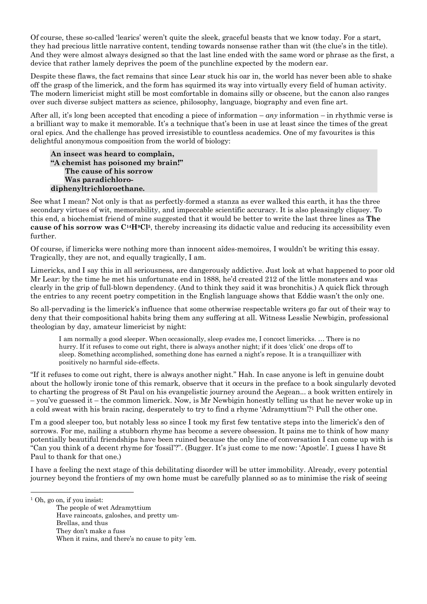Of course, these so-called 'learics' weren't quite the sleek, graceful beasts that we know today. For a start, they had precious little narrative content, tending towards nonsense rather than wit (the clue's in the title). And they were almost always designed so that the last line ended with the same word or phrase as the first, a device that rather lamely deprives the poem of the punchline expected by the modern ear.

Despite these flaws, the fact remains that since Lear stuck his oar in, the world has never been able to shake off the grasp of the limerick, and the form has squirmed its way into virtually every field of human activity. The modern limericist might still be most comfortable in domains silly or obscene, but the canon also ranges over such diverse subject matters as science, philosophy, language, biography and even fine art.

After all, it's long been accepted that encoding a piece of information – *any* information – in rhythmic verse is a brilliant way to make it memorable. It's a technique that's been in use at least since the times of the great oral epics. And the challenge has proved irresistible to countless academics. One of my favourites is this delightful anonymous composition from the world of biology:

**An insect was heard to complain, "A chemist has poisoned my brain!" The cause of his sorrow Was paradichlorodiphenyltrichloroethane.**

See what I mean? Not only is that as perfectly-formed a stanza as ever walked this earth, it has the three secondary virtues of wit, memorability, and impeccable scientific accuracy. It is also pleasingly cliquey. To this end, a biochemist friend of mine suggested that it would be better to write the last three lines as **The cause of his sorrow was C14H9Cl5**, thereby increasing its didactic value and reducing its accessibility even further.

Of course, if limericks were nothing more than innocent aîdes-memoires, I wouldn't be writing this essay. Tragically, they are not, and equally tragically, I am.

Limericks, and I say this in all seriousness, are dangerously addictive. Just look at what happened to poor old Mr Lear: by the time he met his unfortunate end in 1888, he'd created 212 of the little monsters and was clearly in the grip of full-blown dependency. (And to think they said it was bronchitis.) A quick flick through the entries to any recent poetry competition in the English language shows that Eddie wasn't the only one.

So all-pervading is the limerick's influence that some otherwise respectable writers go far out of their way to deny that their compositional habits bring them any suffering at all. Witness Lesslie Newbigin, professional theologian by day, amateur limericist by night:

I am normally a good sleeper. When occasionally, sleep evades me, I concoct limericks. … There is no hurry. If it refuses to come out right, there is always another night; if it does 'click' one drops off to sleep. Something accomplished, something done has earned a night's repose. It is a tranquillizer with positively no harmful side-effects.

"If it refuses to come out right, there is always another night." Hah. In case anyone is left in genuine doubt about the hollowly ironic tone of this remark, observe that it occurs in the preface to a book singularly devoted to charting the progress of St Paul on his evangelistic journey around the Aegean... a book written entirely in – you've guessed it – the common limerick. Now, is Mr Newbigin honestly telling us that he never woke up in a cold sweat with his brain racing, desperately to try to find a rhyme 'Adramyttium'?1 Pull the other one.

I'm a good sleeper too, but notably less so since I took my first few tentative steps into the limerick's den of sorrows. For me, nailing a stubborn rhyme has become a severe obsession. It pains me to think of how many potentially beautiful friendships have been ruined because the only line of conversation I can come up with is "Can you think of a decent rhyme for 'fossil'?". (Bugger. It's just come to me now: 'Apostle'. I guess I have St Paul to thank for that one.)

I have a feeling the next stage of this debilitating disorder will be utter immobility. Already, every potential journey beyond the frontiers of my own home must be carefully planned so as to minimise the risk of seeing

The people of wet Adramyttium Have raincoats, galoshes, and pretty um-Brellas, and thus They don't make a fuss When it rains, and there's no cause to pity 'em.

 <sup>1</sup> Oh, go on, if you insist: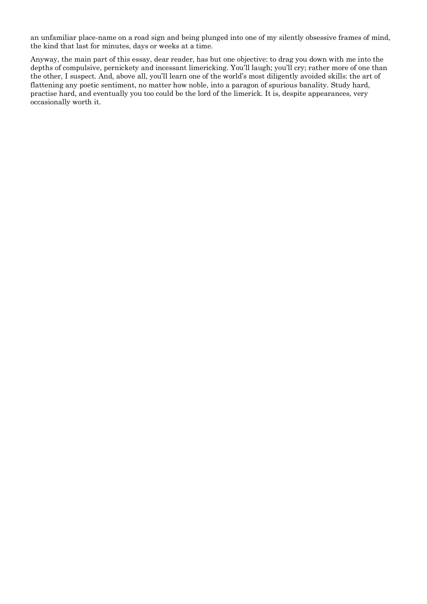an unfamiliar place-name on a road sign and being plunged into one of my silently obsessive frames of mind, the kind that last for minutes, days or weeks at a time.

Anyway, the main part of this essay, dear reader, has but one objective: to drag you down with me into the depths of compulsive, pernickety and incessant limericking. You'll laugh; you'll cry; rather more of one than the other, I suspect. And, above all, you'll learn one of the world's most diligently avoided skills: the art of flattening any poetic sentiment, no matter how noble, into a paragon of spurious banality. Study hard, practise hard, and eventually you too could be the lord of the limerick. It is, despite appearances, very occasionally worth it.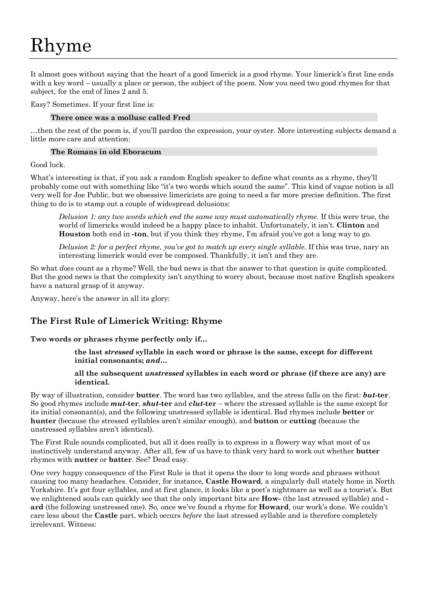It almost goes without saying that the heart of a good limerick is a good rhyme. Your limerick's first line ends with a key word – usually a place or person, the subject of the poem. Now you need two good rhymes for that subject, for the end of lines 2 and 5.

Easy? Sometimes. If your first line is:

## **There once was a mollusc called Fred**

…then the rest of the poem is, if you'll pardon the expression, your oyster. More interesting subjects demand a little more care and attention:

### **The Romans in old Eboracum**

Good luck.

What's interesting is that, if you ask a random English speaker to define what counts as a rhyme, they'll probably come out with something like "it's two words which sound the same". This kind of vague notion is all very well for Joe Public, but we obsessive limericists are going to need a far more precise definition. The first thing to do is to stamp out a couple of widespread delusions:

*Delusion 1: any two words which end the same way must automatically rhyme.* If this were true, the world of limericks would indeed be a happy place to inhabit. Unfortunately, it isn't. **Clinton** and **Houston** both end in **-ton**, but if you think they rhyme, I'm afraid you've got a long way to go.

*Delusion 2: for a perfect rhyme, you've got to match up every single syllable.* If this was true, nary an interesting limerick would ever be composed. Thankfully, it isn't and they are.

So what *does* count as a rhyme? Well, the bad news is that the answer to that question is quite complicated. But the good news is that the complexity isn't anything to worry about, because most native English speakers have a natural grasp of it anyway.

Anyway, here's the answer in all its glory:

## **The First Rule of Limerick Writing: Rhyme**

**Two words or phrases rhyme perfectly only if…**

**the last** *stressed* **syllable in each word or phrase is the same, except for different initial consonants;** *and…*

## **all the subsequent** *unstressed* **syllables in each word or phrase (if there are any) are identical.**

By way of illustration, consider **butter**. The word has two syllables, and the stress falls on the first: *but***-ter**. So good rhymes include *mut***-ter**, *shut***-ter** and *clut***-ter** – where the stressed syllable is the same except for its initial consonant(s), and the following unstressed syllable is identical. Bad rhymes include **better** or **hunter** (because the stressed syllables aren't similar enough), and **button** or **cutting** (because the unstressed syllables aren't identical).

The First Rule sounds complicated, but all it does really is to express in a flowery way what most of us instinctively understand anyway. After all, few of us have to think very hard to work out whether **butter** rhymes with **nutter** or **batter**. See? Dead easy.

One very happy consequence of the First Rule is that it opens the door to long words and phrases without causing too many headaches. Consider, for instance, **Castle Howard**, a singularly dull stately home in North Yorkshire. It's got four syllables, and at first glance, it looks like a poet's nightmare as well as a tourist's. But we enlightened souls can quickly see that the only important bits are **How-** (the last stressed syllable) and  **ard** (the following unstressed one). So, once we've found a rhyme for **Howard**, our work's done. We couldn't care less about the **Castle** part, which occurs *before* the last stressed syllable and is therefore completely irrelevant. Witness: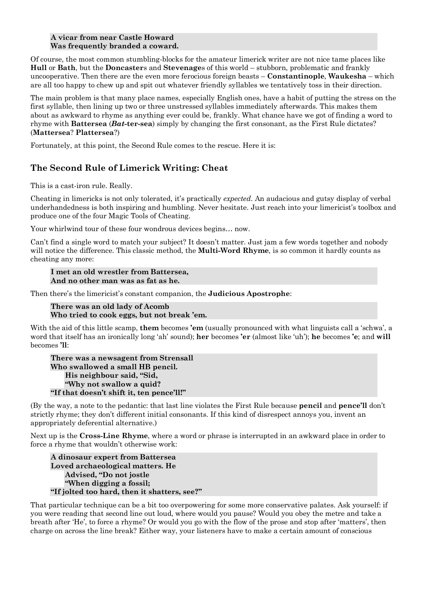#### **A vicar from near Castle Howard Was frequently branded a coward.**

Of course, the most common stumbling-blocks for the amateur limerick writer are not nice tame places like **Hull** or **Bath**, but the **Doncaster**s and **Stevenage**s of this world – stubborn, problematic and frankly uncooperative. Then there are the even more ferocious foreign beasts – **Constantinople**, **Waukesha** – which are all too happy to chew up and spit out whatever friendly syllables we tentatively toss in their direction.

The main problem is that many place names, especially English ones, have a habit of putting the stress on the first syllable, then lining up two or three unstressed syllables immediately afterwards. This makes them about as awkward to rhyme as anything ever could be, frankly. What chance have we got of finding a word to rhyme with **Battersea** (*Bat***-ter-sea**) simply by changing the first consonant, as the First Rule dictates? (**Mattersea**? **Plattersea**?)

Fortunately, at this point, the Second Rule comes to the rescue. Here it is:

# **The Second Rule of Limerick Writing: Cheat**

This is a cast-iron rule. Really.

Cheating in limericks is not only tolerated, it's practically *expected*. An audacious and gutsy display of verbal underhandedness is both inspiring and humbling. Never hesitate. Just reach into your limericist's toolbox and produce one of the four Magic Tools of Cheating.

Your whirlwind tour of these four wondrous devices begins… now.

Can't find a single word to match your subject? It doesn't matter. Just jam a few words together and nobody will notice the difference. This classic method, the **Multi-Word Rhyme**, is so common it hardly counts as cheating any more:

### **I met an old wrestler from Battersea, And no other man was as fat as he.**

Then there's the limericist's constant companion, the **Judicious Apostrophe**:

**There was an old lady of Acomb Who tried to cook eggs, but not break 'em.**

With the aid of this little scamp, **them** becomes **'em** (usually pronounced with what linguists call a 'schwa', a word that itself has an ironically long 'ah' sound); **her** becomes **'er** (almost like 'uh'); **he** becomes **'e**; and **will** becomes **'ll**:

**There was a newsagent from Strensall Who swallowed a small HB pencil. His neighbour said, "Sid, "Why not swallow a quid? "If that doesn't shift it, ten pence'll!"**

(By the way, a note to the pedantic: that last line violates the First Rule because **pencil** and **pence'll** don't strictly rhyme; they don't different initial consonants. If this kind of disrespect annoys you, invent an appropriately deferential alternative.)

Next up is the **Cross-Line Rhyme**, where a word or phrase is interrupted in an awkward place in order to force a rhyme that wouldn't otherwise work:

**A dinosaur expert from Battersea Loved archaeological matters. He Advised, "Do not jostle "When digging a fossil; "If jolted too hard, then it shatters, see?"**

That particular technique can be a bit too overpowering for some more conservative palates. Ask yourself: if you were reading that second line out loud, where would you pause? Would you obey the metre and take a breath after 'He', to force a rhyme? Or would you go with the flow of the prose and stop after 'matters', then charge on across the line break? Either way, your listeners have to make a certain amount of conscious